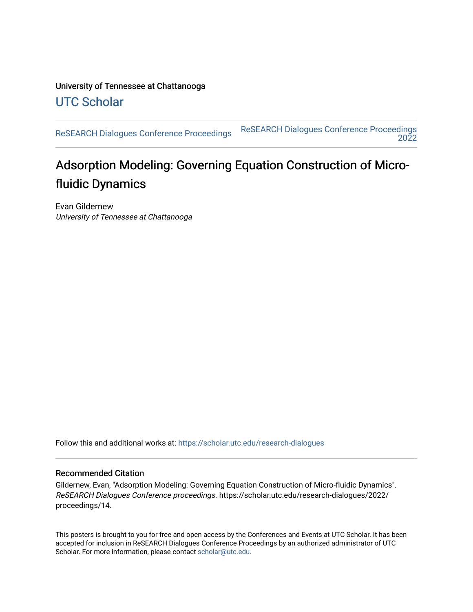University of Tennessee at Chattanooga [UTC Scholar](https://scholar.utc.edu/) 

[ReSEARCH Dialogues Conference Proceedings](https://scholar.utc.edu/research-dialogues) [ReSEARCH Dialogues Conference Proceedings](https://scholar.utc.edu/research-dialogues/2022)  [2022](https://scholar.utc.edu/research-dialogues/2022) 

### Adsorption Modeling: Governing Equation Construction of Microfluidic Dynamics

Evan Gildernew University of Tennessee at Chattanooga

Follow this and additional works at: [https://scholar.utc.edu/research-dialogues](https://scholar.utc.edu/research-dialogues?utm_source=scholar.utc.edu%2Fresearch-dialogues%2F2022%2Fproceedings%2F14&utm_medium=PDF&utm_campaign=PDFCoverPages) 

### Recommended Citation

Gildernew, Evan, "Adsorption Modeling: Governing Equation Construction of Micro-fluidic Dynamics". ReSEARCH Dialogues Conference proceedings. https://scholar.utc.edu/research-dialogues/2022/ proceedings/14.

This posters is brought to you for free and open access by the Conferences and Events at UTC Scholar. It has been accepted for inclusion in ReSEARCH Dialogues Conference Proceedings by an authorized administrator of UTC Scholar. For more information, please contact [scholar@utc.edu.](mailto:scholar@utc.edu)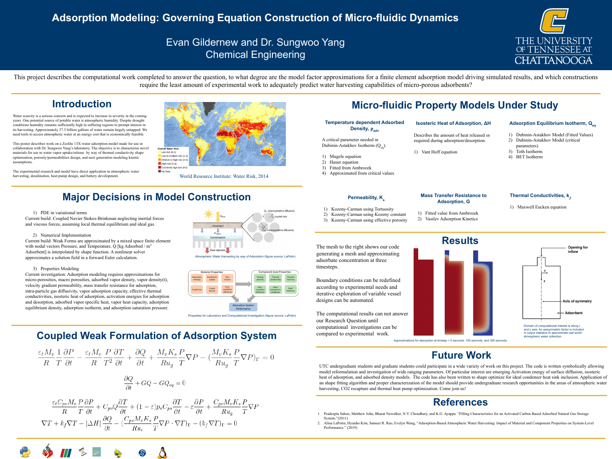# **Adsorption Modeling: Governing Equation Construction of Micro-fluidic Dynamics**



## Evan Gildernew and Dr. Sungwoo Yang Chemical Engineering

Water scarcity is a serious concern and is expected to increase in severity in the coming years. One potential source of potable water is atmospheric humidity. Despite drought conditions humidity remains sufficiently high in suffering regions to prompt interest in its harvesting. Approximately 37.5 billion gallons of water remain largely untapped. We need tools to access atmospheric water at an energy cost that is economically feasible.

This poster describes work on a Zeolite 13X-water adsorption model made for use in collaboration with Dr. Sungwoo Yang's laboratory. The objective is to characterize novel materials for use in water vapor uptake/release by way of thermal conductivity shape optimization, porosity/permeabilities design, and next generation modeling kinetic assumptions.

The experimental research and model have direct application in atmospheric water harvesting, desalination, heat pump design, and battery development.

> UTC undergraduate students and graduate students could participate in a wide variety of work on this project. The code is written symbolically allowing model reformulation and investigation of wide ranging parameters. Of particular interest are emerging Activation energy of surface diffusion, isosteric heat of adsorption, and adsorbed density models. The code has also been written to shape optimize for ideal condenser heat sink inclusion. Application of an shape fitting algorithm and proper characterization of the model should provide undergraduate research opportunities in the areas of atmospheric water harvesting, CO2 recapture and thermal heat pump optimization. Come join us!

## **Introduction**

# **Coupled Weak Formulation of Adsorption System**



 $\frac{\partial Q}{\partial t} + GQ - GQ_{eq} = 0$ 

















1. Pradeepta Sahoo, Matthew John, Bharat Newalker, N.V. Choudhary, and K.G. Ayappa. "Filling Characteristics for an Activated Carbon Based Adsorbed Natural Gas Storage

2. Alina LaPotin, Hyunho Kim, Sameer R. Rao, Evelyn Wang, "Adsorption-Based Atmospheric Water Harvesting: Impact of Material and Component Properties on System-Level

- System."(2011)
- Performance." (2019)



## **References**

This project describes the computational work completed to answer the question, to what degree are the model factor approximations for a finite element adsorption model driving simulated results, and which constructions require the least amount of experimental work to adequately predict water harvesting capabilities of micro-porous adsorbents?



# **Major Decisions in Model Construction**

Atmospheric Water Harvesting by way of Adsorption (figure source: LaPotin)

### **Temperature dependent Adsorbed Density, ρ<sub>adv</sub>**

A critical parameter needed in Dubinin-Astakhov Isotherm (Q<sub>eq</sub>).

## **Future Work**

Properties for Laboratory and Computational Investigation (figure source: LaPotin)

$$
P - (\frac{M_v K_s}{R u_g} \frac{P}{T} \nabla P)_\Gamma = 0
$$

$$
\varepsilon \frac{\partial P}{\partial t} + \frac{C_{pv} M_v K_s P}{R u_g T} \nabla P
$$

$$
- (k_f \nabla T)_\Gamma = 0
$$

1) PDE in variational terms

Current build: Coupled Navier Stokes-Brinkman neglecting inertial forces and viscous forces, assuming local thermal equilibrium and ideal gas.

### 2) Numerical Implementation

Current build: Weak Forms are approximated by a mixed space finite element with nodal vectors Pressure, and Temperature. Q [kg Adsorbed  $/m<sup>3</sup>$ Adsorbent] is interpolated by shape function. A nonlinear solver approximates a solution field in a forward Euler calculation.

### 3) Properties Modeling

Current investigation: Adsorption modeling requires approximations for micro-porosities, macro porosities, adsorbed vapor density, vapor density(t), velocity gradient permeability, mass transfer resistance for adsorption, intra-particle gas diffusivity, vapor adsorption capacity, effective thermal conductivities, isosteric heat of adsorption, activation energies for adsorption and desorption, adsorbed vapor specific heat, vapor heat capacity, adsorption equilibrium density, adsorption isotherm, and adsorption saturation pressure.



## **Isosteric Heat of Adsorption, ΔH**

Describes the amount of heat released or required during adsorption/desorption.

1) Vant Hoff equation

# **Micro-fluidic Property Models Under Study**

- 1) Mugele equation
- 2) Hauer equation
- 3) Fitted from Ambrozek
- 4) Approximated from critical values

### **Permeability, K<sub>s</sub>**

- 
- 
- parameters)
- 3) Toth Isotherm
- 4) BET Isotherm

### **Mass Transfer Resistance to Adsorption, G**

1) Fitted value from Ambrozek 2) Vasilev Adsorption Kinetics

## **Thermal Conductivities, k,**

- 1) Kozeny-Carman using Tortuosity
- 2) Kozeny-Carman using Kozeny constant
- 3) Kozeny-Carman using effective porosity



The mesh to the right shows our code generating a mesh and approximating adsorbate concentration at three timesteps.



Boundary conditions can be redefined according to experimental needs and iterative exploration of variable vessel designs can be automated.

The computational results can not answer our Research Question until computational investigations can be compared to experimental work.

## Approximations for desorption at timstep = 0 seconds, 150 seconds, and 300 seconds.

1) Maxwell Eucken equation